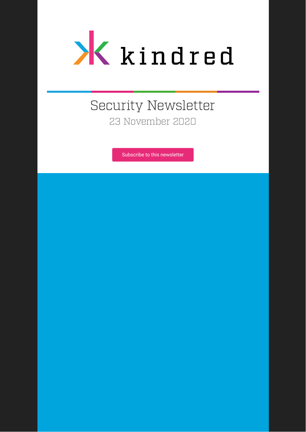

# Security Newsletter 23 November 2020

[Subscribe to this newsletter](https://news.infosecgur.us/register)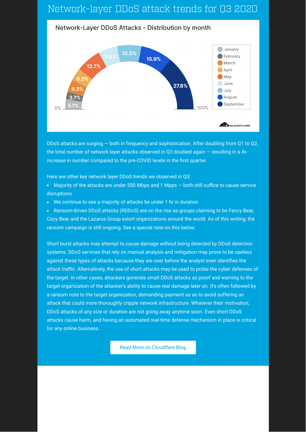## Network-layer DDoS attack trends for Q3 2020



DDoS attacks are surging — both in frequency and sophistication. After doubling from Q1 to Q2, the total number of network layer attacks observed in Q3 doubled again — resulting in a 4x increase in number compared to the pre-COVID levels in the first quarter.

Here are other key network layer DDoS trends we observed in Q3:

- Majority of the attacks are under 500 Mbps and 1 Mpps both still suffice to cause service disruptions
- We continue to see a majority of attacks be under 1 hr in duration

Ransom-driven DDoS attacks (RDDoS) are on the rise as groups claiming to be Fancy Bear, Cozy Bear and the Lazarus Group extort organizations around the world. As of this writing, the ransom campaign is still ongoing. See a special note on this below.

Short burst attacks may attempt to cause damage without being detected by DDoS detection systems. DDoS services that rely on manual analysis and mitigation may prove to be useless against these types of attacks because they are over before the analyst even identifies the attack traffic. Alternatively, the use of short attacks may be used to probe the cyber defenses of the target. In other cases, attackers generate small DDoS attacks as proof and warning to the target organization of the attacker's ability to cause real damage later on. It's often followed by a ransom note to the target organization, demanding payment so as to avoid suffering an attack that could more thoroughly cripple network infrastructure. Whatever their motivation, DDoS attacks of any size or duration are not going away anytime soon. Even short DDoS attacks cause harm, and having an automated real-time defense mechanism in place is critical for any online business.

Read More on Cloudflare Blog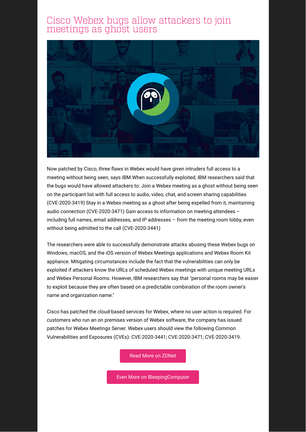### Cisco Webex bugs allow attackers to join meetings as ghost users



Now patched by Cisco, three flaws in Webex would have given intruders full access to a meeting without being seen, says IBM.When successfully exploited, IBM researchers said that the bugs would have allowed attackers to: Join a Webex meeting as a ghost without being seen on the participant list with full access to audio, video, chat, and screen sharing capabilities (CVE-2020-3419) Stay in a Webex meeting as a ghost after being expelled from it, maintaining audio connection (CVE-2020-3471) Gain access to information on meeting attendees – including full names, email addresses, and IP addresses – from the meeting room lobby, even without being admitted to the call (CVE-2020-3441)

The researchers were able to successfully demonstrate attacks abusing these Webex bugs on Windows, macOS, and the iOS version of Webex Meetings applications and Webex Room Kit appliance. Mitigating circumstances include the fact that the vulnerabilities can only be exploited if attackers know the URLs of scheduled Webex meetings with unique meeting URLs and Webex Personal Rooms. However, IBM researchers say that "personal rooms may be easier to exploit because they are often based on a predictable combination of the room owner's name and organization name."

Cisco has patched the cloud-based services for Webex, where no user action is required. For customers who run an on premises version of Webex software, the company has issued patches for Webex Meetings Server. Webex users should view the following Common Vulnerabilities and Exposures (CVEs): CVE-2020-3441; CVE-2020-3471; CVE-2020-3419.

[Read More on ZDNet](https://www.zdnet.com/article/cisco-webex-bugs-allow-attackers-to-join-meetings-as-ghost-users/#ftag=RSSbaffb68)

[Even More on BleepingComputer](https://www.bleepingcomputer.com/news/security/cisco-fixes-webex-bugs-allowing-ghost-attackers-in-meetings/)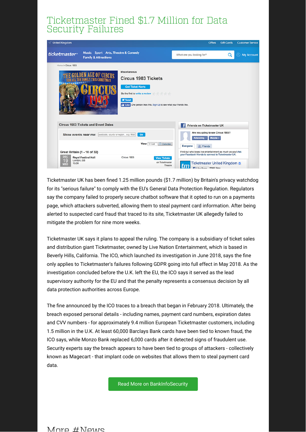### Ticketmaster Fined \$1.7 Million for Data Security Failures

| √ United Kingdom                                                                                                                                                                 | <b>Offers</b><br><b>Gift Cards</b><br><b>Customer Service</b>                                                          |
|----------------------------------------------------------------------------------------------------------------------------------------------------------------------------------|------------------------------------------------------------------------------------------------------------------------|
| Music Sport Arts, Theatre & Comedy<br>ticketmaster <sup>®</sup><br><b>Family &amp; Attractions</b>                                                                               | Q<br>What are you looking for?<br>Q)<br><b>My Account</b>                                                              |
| Home > Circus 1903<br><b>Miscellaneous</b><br><b>LDEN AGE OF CIRCUS</b><br>THE FAMILY THIS CHRISTMAS<br><b>Circus 1903 Tickets</b><br><b>Get Ticket Alerts</b><br><b>W</b> Tweet | Be the first to write a review<br>T Like One person likes this. Sign Up to see what your friends like.                 |
| <b>Circus 1903 Tickets and Event Dates</b>                                                                                                                                       | ÷<br><b>Friends on Ticketmaster UK</b>                                                                                 |
| Show events near me: postcode, county or region e.g. Midl:<br>Go                                                                                                                 | Are you going to see Circus 1903?<br>Attending ><br>Maybe ><br>View: List<br>Calendar<br>Everyone<br><b>AR</b> Friends |
| Great Britain (1 - 10 of 32)                                                                                                                                                     | Find out who loves live entertainment as much as you! Ask<br>your Facebook friends to connect to Ticketmaster UK.      |
| <b>DEC</b><br><b>Royal Festival Hall</b><br>Circus 1903<br>19<br>London, GB<br>15:00<br><b>WED</b>                                                                               | <b>View Tickets</b><br>on Ticketmaster<br>Ticketmaster United Kingdom o<br>Theatre<br><b>Filips Dans</b> 236K likes    |

Ticketmaster UK has been fined 1.25 million pounds (\$1.7 million) by Britain's privacy watchdog for its "serious failure" to comply with the EU's General Data Protection Regulation. Regulators say the company failed to properly secure chatbot software that it opted to run on a payments page, which attackers subverted, allowing them to steal payment card information. After being alerted to suspected card fraud that traced to its site, Ticketmaster UK allegedly failed to mitigate the problem for nine more weeks.

Ticketmaster UK says it plans to appeal the ruling. The company is a subsidiary of ticket sales and distribution giant Ticketmaster, owned by Live Nation Entertainment, which is based in Beverly Hills, California. The ICO, which launched its investigation in June 2018, says the fine only applies to Ticketmaster's failures following GDPR going into full effect in May 2018. As the investigation concluded before the U.K. left the EU, the ICO says it served as the lead supervisory authority for the EU and that the penalty represents a consensus decision by all data protection authorities across Europe.

The fine announced by the ICO traces to a breach that began in February 2018. Ultimately, the breach exposed personal details - including names, payment card numbers, expiration dates and CVV numbers - for approximately 9.4 million European Ticketmaster customers, including 1.5 million in the U.K. At least 60,000 Barclays Bank cards have been tied to known fraud, the ICO says, while Monzo Bank replaced 6,000 cards after it detected signs of fraudulent use. Security experts say the breach appears to have been tied to groups of attackers - collectively known as Magecart - that implant code on websites that allows them to steal payment card data.

[Read More on BankInfoSecurity](https://www.bankinfosecurity.com/ticketmaster-fined-17-million-for-data-security-failures-a-15369)

 $M$ ore  $\#$ News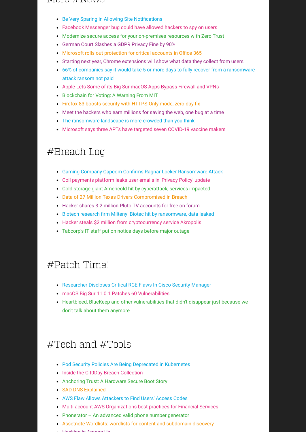#### $1$ YIUIU  $\pi$ inuwu

- Be Very Sparing in Allowing Site Notifications
- [Facebook Messenger bug could have allowed hackers to spy on users](https://www.zdnet.com/article/facebook-messenger-bug-could-have-allowed-hackers-to-spy-on-users/#ftag=RSSbaffb68)
- [Modernize secure access for your on-premises resources with Zero Trust](https://www.microsoft.com/security/blog/2020/11/19/modernize-secure-access-for-your-on-premises-resources-with-zero-trust/)
- [German Court Slashes a GDPR Privacy Fine by 90%](https://www.bankinfosecurity.com/german-court-slashes-gdpr-privacy-fine-by-90-a-15359)
- Microsoft rolls out protection for critical accounts in Office 365
- [Starting next year, Chrome extensions will show what data they collect from users](https://www.zdnet.com/article/starting-next-year-chrome-extensions-will-show-what-data-they-collect-from-users/#ftag=RSSbaffb68)
- [66% of companies say it would take 5 or more days to fully recover from a ransomware](https://www.techrepublic.com/article/66-of-companies-say-it-would-take-5-or-more-days-to-fully-recover-from-a-ransomware-attack-ransom-not-paid/#ftag=RSS56d97e7) attack ransom not paid
- [Apple Lets Some of its Big Sur macOS Apps Bypass Firewall and VPNs](https://thehackernews.com/2020/11/apple-lets-some-of-its-big-sur-macos.html?utm_source=feedburner&utm_medium=feed&utm_campaign=Feed%3A+TheHackersNews+%28The+Hackers+News+-+Cyber+Security+Blog%29)
- **[Blockchain for Voting: A Warning From MIT](https://www.bankinfosecurity.com/blogs/blockchain-for-voting-warning-from-mit-p-2970)**
- Firefox 83 boosts security with HTTPS-Only mode, zero-day fix
- [Meet the hackers who earn millions for saving the web, one bug at a time](https://www.techrepublic.com/article/meet-the-hackers-who-earn-millions-for-saving-the-web-how-bug-bounties-are-changing-everything-about-security/#ftag=RSS56d97e7)
- [The ransomware landscape is more crowded than you think](https://www.zdnet.com/article/the-ransomware-landscape-is-more-crowded-than-you-think/#ftag=RSSbaffb68)
- [Microsoft says three APTs have targeted seven COVID-19 vaccine makers](https://www.zdnet.com/article/microsoft-says-three-apts-have-targeted-seven-covid-19-vaccine-makers/#ftag=RSSbaffb68)

### #Breach Log

- Gaming Company Capcom Confirms Ragnar Locker Ransomware Attack
- [Coil payments platform leaks user emails in 'Privacy Policy' update](https://www.bleepingcomputer.com/news/security/coil-payments-platform-leaks-user-emails-in-privacy-policy-update/)
- [Cold storage giant Americold hit by cyberattack, services impacted](https://www.bleepingcomputer.com/news/security/cold-storage-giant-americold-hit-by-cyberattack-services-impacted/)
- [Data of 27 Million Texas Drivers Compromised in Breach](https://www.bankinfosecurity.com/data-27-million-texas-drivers-compromised-in-breach-a-15367)
- [Hacker shares 3.2 million Pluto TV accounts for free on forum](https://www.bleepingcomputer.com/news/security/hacker-shares-32-million-pluto-tv-accounts-for-free-on-forum/)
- **Biotech research firm Miltenyi Biotec hit by ransomware, data leaked**
- [Hacker steals \\$2 million from cryptocurrency service Akropolis](https://www.zdnet.com/article/hacker-steals-2-million-from-cryptocurrency-service-akropolis/#ftag=RSSbaffb68)
- [Tabcorp's IT staff put on notice days before major outage](https://www.smh.com.au/sport/racing/tabcorp-s-it-staff-put-on-notice-days-before-major-outage-20201120-p56gfi.html)

### #Patch Time!

- [Researcher Discloses Critical RCE Flaws In Cisco Security Manager](https://thehackernews.com/2020/11/researcher-discloses-critical-rce-flaws.html?utm_source=feedburner&utm_medium=feed&utm_campaign=Feed%3A+TheHackersNews+%28The+Hackers+News+-+Cyber+Security+Blog%29)
- [macOS Big Sur 11.0.1 Patches 60 Vulnerabilities](https://www.securityweek.com/macos-big-sur-1101-patches-60-vulnerabilities?utm_source=feedburner&utm_medium=feed&utm_campaign=Feed%3A+Securityweek+%28SecurityWeek+RSS+Feed%29)
- [Heartbleed, BlueKeep and other vulnerabilities that didn't disappear just because we](https://isc.sans.edu/forums/diary/Heartbleed+BlueKeep+and+other+vulnerabilities+that+didnt+disappear+just+because+we+dont+talk+about+them+anymore/26798/) don't talk about them anymore

## #Tech and #Tools

- [Pod Security Policies Are Being Deprecated in Kubernetes](https://www.antitree.com/2020/11/pod-security-policies-are-being-deprecated-in-kubernetes/)
- **[Inside the Cit0Day Breach Collection](https://www.troyhunt.com/inside-the-cit0day-breach-collection/)**
- [Anchoring Trust: A Hardware Secure Boot Story](https://blog.cloudflare.com/anchoring-trust-a-hardware-secure-boot-story/)
- **[SAD DNS Explained](https://blog.cloudflare.com/sad-dns-explained/)**
- [AWS Flaw Allows Attackers to Find Users' Access Codes](https://www.bankinfosecurity.com/aws-flaw-allows-attackers-to-find-users-access-codes-a-15408)
- [Multi-account AWS Organizations best practices for Financial Services](https://www.clickittech.com/aws/aws-organizations-best-practices/amp/)
- [Phonerator An advanced valid phone number generator](https://www.martinvigo.com/phonerator-an-advanced-valid-phone-number-generator/)
- [Assetnote Wordlists: wordlists for content and subdomain discovery](https://wordlists.assetnote.io/)
- [Hacking](https://medium.com/tenable-techblog/hacking-in-among-us-b43ea0fdd3d7) in Among Us